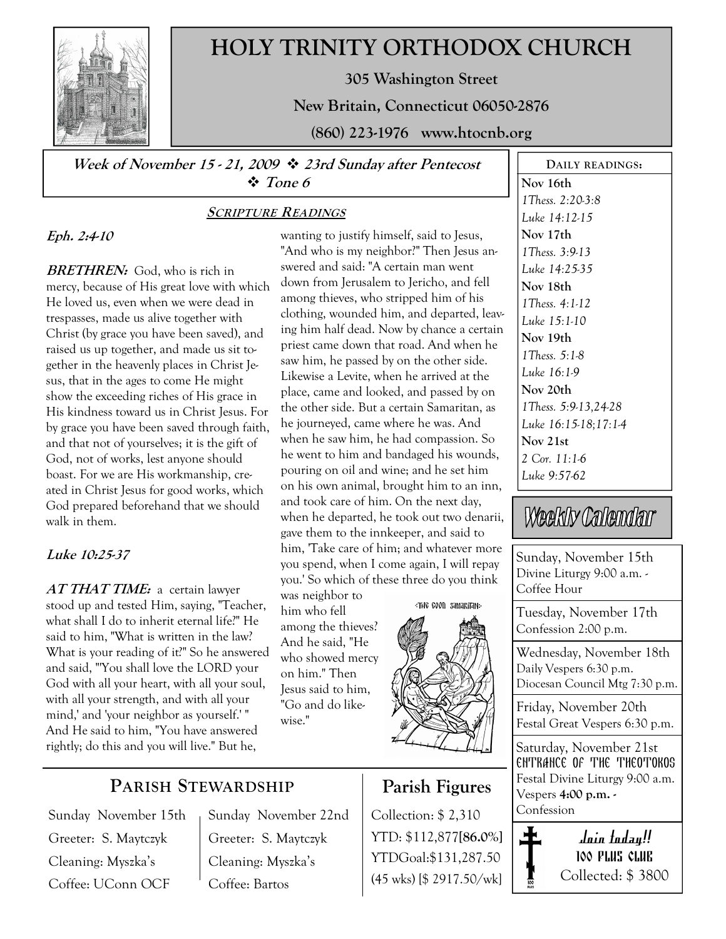

# HOLY TRINITY ORTHODOX CHURCH

305 Washington Street

New Britain, Connecticut 06050-2876

(860) 223-1976 www.htocnb.org

Week of November 15 - 21, 2009  $\div$  23rd Sunday after Pentecost Tone 6

### SCRIPTURE READINGS

### Eph. 2:4-10

**BRETHREN:** God, who is rich in mercy, because of His great love with which He loved us, even when we were dead in trespasses, made us alive together with Christ (by grace you have been saved), and raised us up together, and made us sit together in the heavenly places in Christ Jesus, that in the ages to come He might show the exceeding riches of His grace in His kindness toward us in Christ Jesus. For by grace you have been saved through faith, and that not of yourselves; it is the gift of God, not of works, lest anyone should boast. For we are His workmanship, created in Christ Jesus for good works, which God prepared beforehand that we should walk in them.

### Luke 10:25-37

AT THAT TIME: a certain lawyer stood up and tested Him, saying, "Teacher, what shall I do to inherit eternal life?" He said to him, "What is written in the law? What is your reading of it?" So he answered and said, "'You shall love the LORD your God with all your heart, with all your soul, with all your strength, and with all your mind,' and 'your neighbor as yourself.' " And He said to him, "You have answered rightly; do this and you will live." But he,

wanting to justify himself, said to Jesus, "And who is my neighbor?" Then Jesus answered and said: "A certain man went down from Jerusalem to Jericho, and fell among thieves, who stripped him of his clothing, wounded him, and departed, leaving him half dead. Now by chance a certain priest came down that road. And when he saw him, he passed by on the other side. Likewise a Levite, when he arrived at the place, came and looked, and passed by on the other side. But a certain Samaritan, as he journeyed, came where he was. And when he saw him, he had compassion. So he went to him and bandaged his wounds, pouring on oil and wine; and he set him on his own animal, brought him to an inn, and took care of him. On the next day, when he departed, he took out two denarii, gave them to the innkeeper, and said to him, 'Take care of him; and whatever more you spend, when I come again, I will repay you.' So which of these three do you think

was neighbor to him who fell among the thieves? And he said, "He who showed mercy on him." Then Jesus said to him, "Go and do likewise."



Parish Figures

Collection: \$ 2,310 YTD: \$112,877[86.0%] YTDGoal:\$131,287.50 (45 wks) [\$ 2917.50/wk]

Nov 16th 1Thess. 2:20-3:8 Luke 14:12-15 Nov 17th 1Thess. 3:9-13 Luke 14:25-35 Nov 18th 1Thess. 4:1-12 Luke 15:1-10 Nov 19th 1Thess. 5:1-8 Luke 16:1-9 Nov 20th 1Thess. 5:9-13,24-28 Luke 16:15-18;17:1-4 Nov 21st 2 Cor. 11:1-6 Luke 9:57-62

DAILY READINGS:

# Weekly Calendar

Sunday, November 15th Divine Liturgy 9:00 a.m. - Coffee Hour

Tuesday, November 17th Confession 2:00 p.m.

Wednesday, November 18th Daily Vespers 6:30 p.m. Diocesan Council Mtg 7:30 p.m.

Friday, November 20th Festal Great Vespers 6:30 p.m.

Saturday, November 21st ENTRANCE OF THE THEOTOKOS Festal Divine Liturgy 9:00 a.m. Vespers 4:00 p.m. - Confession



PARISH STEWARDSHIP

Sunday November 15th Greeter: S. Maytczyk Cleaning: Myszka's Coffee: UConn OCF

Sunday November 22nd Greeter: S. Maytczyk Cleaning: Myszka's Coffee: Bartos